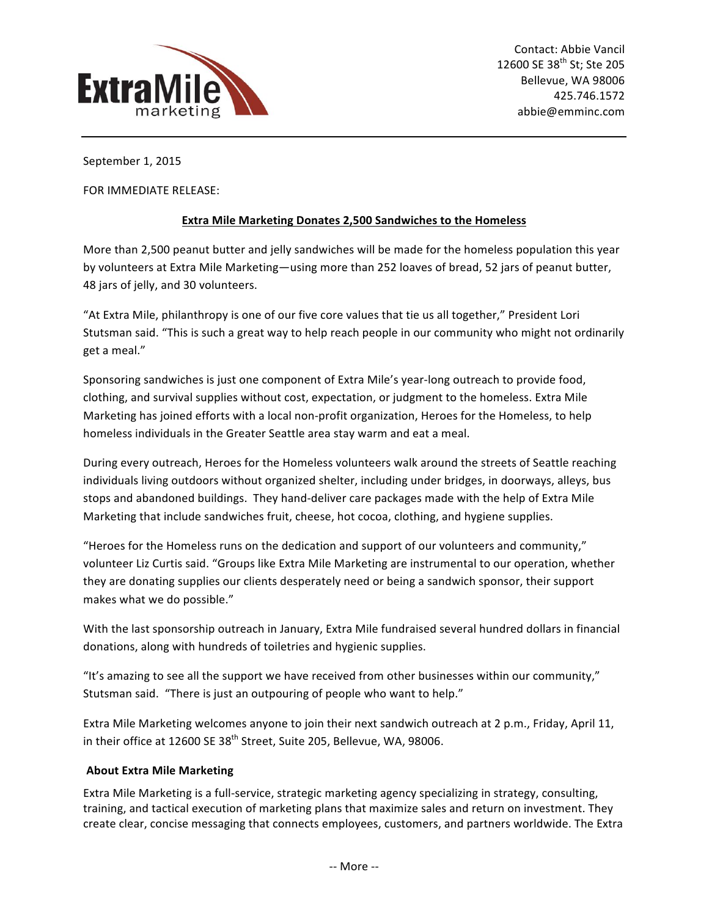

September 1, 2015

FOR IMMEDIATE RELEASE:

## **Extra Mile Marketing Donates 2,500 Sandwiches to the Homeless**

More than 2,500 peanut butter and jelly sandwiches will be made for the homeless population this year by volunteers at Extra Mile Marketing—using more than 252 loaves of bread, 52 jars of peanut butter, 48 jars of jelly, and 30 volunteers.

"At Extra Mile, philanthropy is one of our five core values that tie us all together," President Lori Stutsman said. "This is such a great way to help reach people in our community who might not ordinarily get a meal."

Sponsoring sandwiches is just one component of Extra Mile's year-long outreach to provide food, clothing, and survival supplies without cost, expectation, or judgment to the homeless. Extra Mile Marketing has joined efforts with a local non-profit organization, Heroes for the Homeless, to help homeless individuals in the Greater Seattle area stay warm and eat a meal.

During every outreach, Heroes for the Homeless volunteers walk around the streets of Seattle reaching individuals living outdoors without organized shelter, including under bridges, in doorways, alleys, bus stops and abandoned buildings. They hand-deliver care packages made with the help of Extra Mile Marketing that include sandwiches fruit, cheese, hot cocoa, clothing, and hygiene supplies.

"Heroes for the Homeless runs on the dedication and support of our volunteers and community," volunteer Liz Curtis said. "Groups like Extra Mile Marketing are instrumental to our operation, whether they are donating supplies our clients desperately need or being a sandwich sponsor, their support makes what we do possible."

With the last sponsorship outreach in January, Extra Mile fundraised several hundred dollars in financial donations, along with hundreds of toiletries and hygienic supplies.

"It's amazing to see all the support we have received from other businesses within our community," Stutsman said. "There is just an outpouring of people who want to help."

Extra Mile Marketing welcomes anyone to join their next sandwich outreach at 2 p.m., Friday, April 11, in their office at 12600 SE 38<sup>th</sup> Street, Suite 205, Bellevue, WA, 98006.

## **About Extra Mile Marketing**

Extra Mile Marketing is a full-service, strategic marketing agency specializing in strategy, consulting, training, and tactical execution of marketing plans that maximize sales and return on investment. They create clear, concise messaging that connects employees, customers, and partners worldwide. The Extra